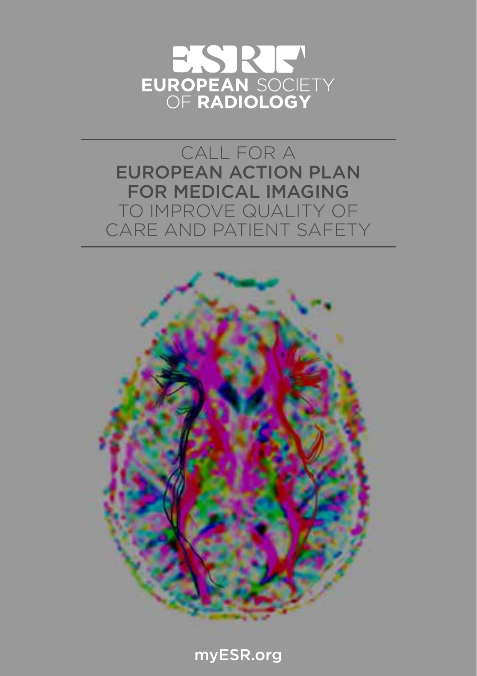

CALL FOR A EUROPEAN ACTION PLAN FOR MEDICAL IMAGING TO IMPROVE QUALITY OF CARE AND PATIENT SAFETY



myESR.org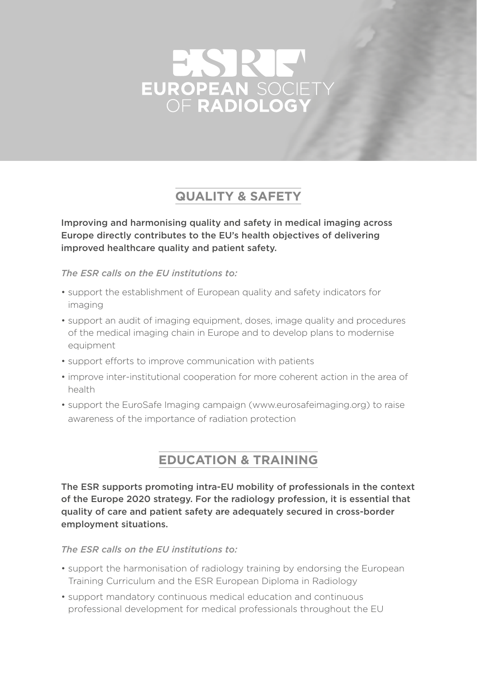# EUROPEAN SOCIET

# **QUALITY & SAFETY**

Improving and harmonising quality and safety in medical imaging across Europe directly contributes to the EU's health objectives of delivering improved healthcare quality and patient safety.

*The ESR calls on the EU institutions to:*

- support the establishment of European quality and safety indicators for imaging
- support an audit of imaging equipment, doses, image quality and procedures of the medical imaging chain in Europe and to develop plans to modernise equipment
- support efforts to improve communication with patients
- improve inter-institutional cooperation for more coherent action in the area of health
- support the EuroSafe Imaging campaign (www.eurosafeimaging.org) to raise awareness of the importance of radiation protection

## **EDUCATION & TRAINING**

The ESR supports promoting intra-EU mobility of professionals in the context of the Europe 2020 strategy. For the radiology profession, it is essential that quality of care and patient safety are adequately secured in cross-border employment situations.

*The ESR calls on the EU institutions to:*

- support the harmonisation of radiology training by endorsing the European Training Curriculum and the ESR European Diploma in Radiology
- support mandatory continuous medical education and continuous professional development for medical professionals throughout the EU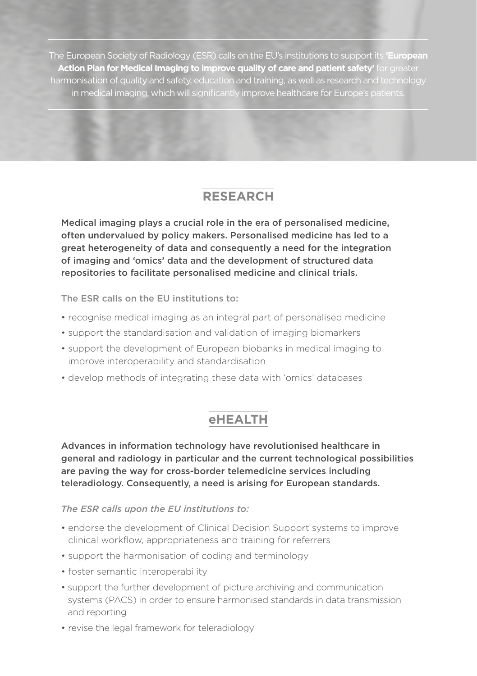The European Society of Radiology (ESR) calls on the EU's institutions to support its **'European Action Plan for Medical Imaging to improve quality of care and patient safety'** for greater harmonisation of quality and safety, education and training, as well as research and technology in medical imaging, which will significantly improve healthcare for Europe's patients.

## **RESEARCH**

Medical imaging plays a crucial role in the era of personalised medicine, often undervalued by policy makers. Personalised medicine has led to a great heterogeneity of data and consequently a need for the integration of imaging and 'omics' data and the development of structured data repositories to facilitate personalised medicine and clinical trials.

The ESR calls on the EU institutions to:

- recognise medical imaging as an integral part of personalised medicine
- support the standardisation and validation of imaging biomarkers
- support the development of European biobanks in medical imaging to improve interoperability and standardisation
- develop methods of integrating these data with 'omics' databases

## **eHEALTH**

Advances in information technology have revolutionised healthcare in general and radiology in particular and the current technological possibilities are paving the way for cross-border telemedicine services including teleradiology. Consequently, a need is arising for European standards.

*The ESR calls upon the EU institutions to:*

- endorse the development of Clinical Decision Support systems to improve clinical workflow, appropriateness and training for referrers
- support the harmonisation of coding and terminology
- foster semantic interoperability
- support the further development of picture archiving and communication systems (PACS) in order to ensure harmonised standards in data transmission and reporting
- revise the legal framework for teleradiology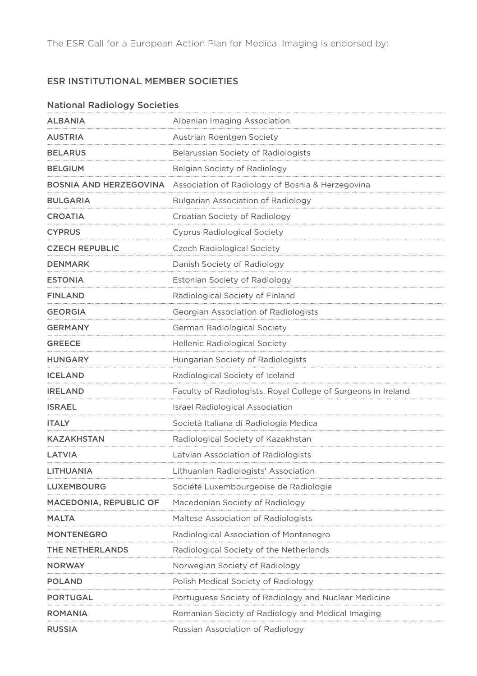The ESR Call for a European Action Plan for Medical Imaging is endorsed by:

## ESR INSTITUTIONAL MEMBER SOCIETIES

#### National Radiology Societies

| ALBANIA                | Albanian Imaging Association                                  |
|------------------------|---------------------------------------------------------------|
| AUSTRIA                | Austrian Roentgen Society                                     |
| <b>BELARUS</b>         | Belarussian Society of Radiologists                           |
| <b>BELGIUM</b>         | Belgian Society of Radiology                                  |
| BOSNIA AND HERZEGOVINA | Association of Radiology of Bosnia & Herzegovina              |
| <b>BULGARIA</b>        | Bulgarian Association of Radiology                            |
| CROATIA                | Croatian Society of Radiology                                 |
| <b>CYPRUS</b>          | Cyprus Radiological Society                                   |
| CZECH REPUBLIC         | Czech Radiological Society                                    |
| DENMARK                | Danish Society of Radiology                                   |
| <b>ESTONIA</b>         | Estonian Society of Radiology                                 |
| <b>FINLAND</b>         | Radiological Society of Finland                               |
| GEORGIA                | Georgian Association of Radiologists                          |
| <b>GERMANY</b>         | German Radiological Society                                   |
| <b>GREECE</b>          | <b>Hellenic Radiological Society</b>                          |
| <b>HUNGARY</b>         | Hungarian Society of Radiologists                             |
| ICELAND                | Radiological Society of Iceland                               |
| <b>IRELAND</b>         | Faculty of Radiologists, Royal College of Surgeons in Ireland |
| <b>ISRAEL</b>          | <b>Israel Radiological Association</b>                        |
| <b>ITALY</b>           | Società Italiana di Radiologia Medica                         |
| <b>KAZAKHSTAN</b>      | Radiological Society of Kazakhstan                            |
| LATVIA                 | Latvian Association of Radiologists                           |
| LITHUANIA              | Lithuanian Radiologists' Association                          |
| LUXEMBOURG             | Société Luxembourgeoise de Radiologie                         |
| MACEDONIA, REPUBLIC OF | Macedonian Society of Radiology                               |
| <b>MALTA</b>           | Maltese Association of Radiologists                           |
| <b>MONTENEGRO</b>      | Radiological Association of Montenegro                        |
| THE NETHERLANDS        | Radiological Society of the Netherlands                       |
| <b>NORWAY</b>          | Norwegian Society of Radiology                                |
| POLAND                 | Polish Medical Society of Radiology                           |
| PORTUGAL               | Portuguese Society of Radiology and Nuclear Medicine          |
| ROMANIA                | Romanian Society of Radiology and Medical Imaging             |
| <b>RUSSIA</b>          | Russian Association of Radiology                              |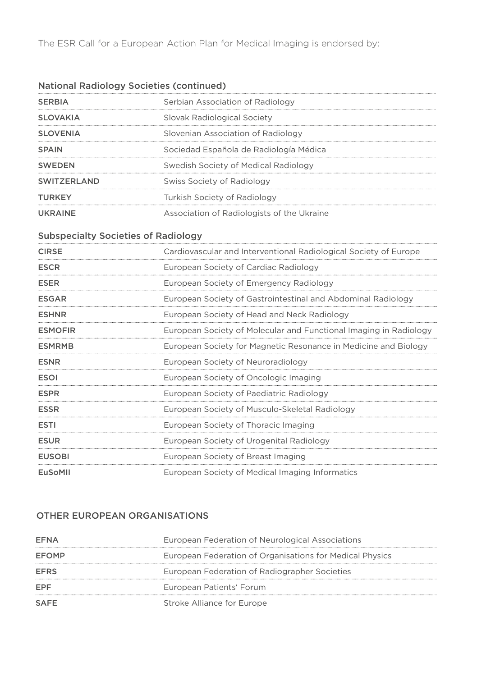The ESR Call for a European Action Plan for Medical Imaging is endorsed by:

## National Radiology Societies (continued)

| <b>SERBIA</b>      | Serbian Association of Radiology           |
|--------------------|--------------------------------------------|
| <b>SLOVAKIA</b>    | Slovak Radiological Society                |
| <b>SLOVENIA</b>    | Slovenian Association of Radiology         |
| <b>SPAIN</b>       | Sociedad Española de Radiología Médica     |
| <b>SWEDEN</b>      | Swedish Society of Medical Radiology       |
| <b>SWITZERLAND</b> | Swiss Society of Radiology                 |
| <b>TURKEY</b>      | Turkish Society of Radiology               |
| UKRAINE            | Association of Radiologists of the Ukraine |

#### Subspecialty Societies of Radiology

| <b>CIRSE</b>   | Cardiovascular and Interventional Radiological Society of Europe  |
|----------------|-------------------------------------------------------------------|
| <b>ESCR</b>    | European Society of Cardiac Radiology                             |
| <b>ESER</b>    | European Society of Emergency Radiology                           |
| <b>FSGAR</b>   | European Society of Gastrointestinal and Abdominal Radiology      |
| <b>ESHNR</b>   | European Society of Head and Neck Radiology                       |
| <b>ESMOFIR</b> | European Society of Molecular and Functional Imaging in Radiology |
| <b>ESMRMB</b>  | European Society for Magnetic Resonance in Medicine and Biology   |
| <b>FSNR</b>    | European Society of Neuroradiology                                |
| <b>ESOI</b>    | European Society of Oncologic Imaging                             |
| <b>ESPR</b>    | European Society of Paediatric Radiology                          |
| <b>ESSR</b>    | European Society of Musculo-Skeletal Radiology                    |
| <b>ESTI</b>    | European Society of Thoracic Imaging                              |
| <b>ESUR</b>    | European Society of Urogenital Radiology                          |
| <b>FUSOBI</b>  | European Society of Breast Imaging                                |
| EuSoMII        | European Society of Medical Imaging Informatics                   |

### OTHER EUROPEAN ORGANISATIONS

| <b>FFNA</b> | European Federation of Neurological Associations         |
|-------------|----------------------------------------------------------|
| EFOMP       | European Federation of Organisations for Medical Physics |
| <b>FFRS</b> | European Federation of Radiographer Societies            |
| EPF         | European Patients' Forum                                 |
| SAFF        | Stroke Alliance for Europe                               |